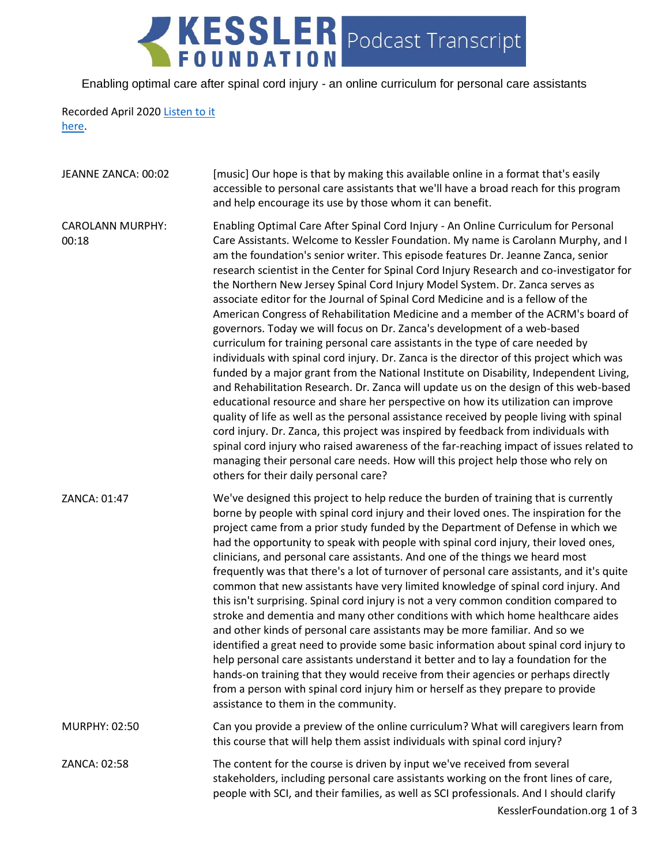## KESSLER Podcast Transcript

Enabling optimal care after spinal cord injury - an online curriculum for personal care assistants

## Recorded April 2020 [Listen to it](https://soundcloud.com/kesslerfoundation/enabling-optimal-care-after-spinal-cord-injury-an-online-curriculum-for-personal-care-assistants)  [here.](https://soundcloud.com/kesslerfoundation/enabling-optimal-care-after-spinal-cord-injury-an-online-curriculum-for-personal-care-assistants)

| JEANNE ZANCA: 00:02              | [music] Our hope is that by making this available online in a format that's easily<br>accessible to personal care assistants that we'll have a broad reach for this program<br>and help encourage its use by those whom it can benefit.                                                                                                                                                                                                                                                                                                                                                                                                                                                                                                                                                                                                                                                                                                                                                                                                                                                                                                                                                                                                                                                                                                                                                                                                                                                                                                                      |
|----------------------------------|--------------------------------------------------------------------------------------------------------------------------------------------------------------------------------------------------------------------------------------------------------------------------------------------------------------------------------------------------------------------------------------------------------------------------------------------------------------------------------------------------------------------------------------------------------------------------------------------------------------------------------------------------------------------------------------------------------------------------------------------------------------------------------------------------------------------------------------------------------------------------------------------------------------------------------------------------------------------------------------------------------------------------------------------------------------------------------------------------------------------------------------------------------------------------------------------------------------------------------------------------------------------------------------------------------------------------------------------------------------------------------------------------------------------------------------------------------------------------------------------------------------------------------------------------------------|
| <b>CAROLANN MURPHY:</b><br>00:18 | Enabling Optimal Care After Spinal Cord Injury - An Online Curriculum for Personal<br>Care Assistants. Welcome to Kessler Foundation. My name is Carolann Murphy, and I<br>am the foundation's senior writer. This episode features Dr. Jeanne Zanca, senior<br>research scientist in the Center for Spinal Cord Injury Research and co-investigator for<br>the Northern New Jersey Spinal Cord Injury Model System. Dr. Zanca serves as<br>associate editor for the Journal of Spinal Cord Medicine and is a fellow of the<br>American Congress of Rehabilitation Medicine and a member of the ACRM's board of<br>governors. Today we will focus on Dr. Zanca's development of a web-based<br>curriculum for training personal care assistants in the type of care needed by<br>individuals with spinal cord injury. Dr. Zanca is the director of this project which was<br>funded by a major grant from the National Institute on Disability, Independent Living,<br>and Rehabilitation Research. Dr. Zanca will update us on the design of this web-based<br>educational resource and share her perspective on how its utilization can improve<br>quality of life as well as the personal assistance received by people living with spinal<br>cord injury. Dr. Zanca, this project was inspired by feedback from individuals with<br>spinal cord injury who raised awareness of the far-reaching impact of issues related to<br>managing their personal care needs. How will this project help those who rely on<br>others for their daily personal care? |
| ZANCA: 01:47                     | We've designed this project to help reduce the burden of training that is currently<br>borne by people with spinal cord injury and their loved ones. The inspiration for the<br>project came from a prior study funded by the Department of Defense in which we<br>had the opportunity to speak with people with spinal cord injury, their loved ones,<br>clinicians, and personal care assistants. And one of the things we heard most<br>frequently was that there's a lot of turnover of personal care assistants, and it's quite<br>common that new assistants have very limited knowledge of spinal cord injury. And<br>this isn't surprising. Spinal cord injury is not a very common condition compared to<br>stroke and dementia and many other conditions with which home healthcare aides<br>and other kinds of personal care assistants may be more familiar. And so we<br>identified a great need to provide some basic information about spinal cord injury to<br>help personal care assistants understand it better and to lay a foundation for the<br>hands-on training that they would receive from their agencies or perhaps directly<br>from a person with spinal cord injury him or herself as they prepare to provide<br>assistance to them in the community.                                                                                                                                                                                                                                                                            |
| MURPHY: 02:50                    | Can you provide a preview of the online curriculum? What will caregivers learn from<br>this course that will help them assist individuals with spinal cord injury?                                                                                                                                                                                                                                                                                                                                                                                                                                                                                                                                                                                                                                                                                                                                                                                                                                                                                                                                                                                                                                                                                                                                                                                                                                                                                                                                                                                           |
| ZANCA: 02:58                     | The content for the course is driven by input we've received from several<br>stakeholders, including personal care assistants working on the front lines of care,<br>people with SCI, and their families, as well as SCI professionals. And I should clarify                                                                                                                                                                                                                                                                                                                                                                                                                                                                                                                                                                                                                                                                                                                                                                                                                                                                                                                                                                                                                                                                                                                                                                                                                                                                                                 |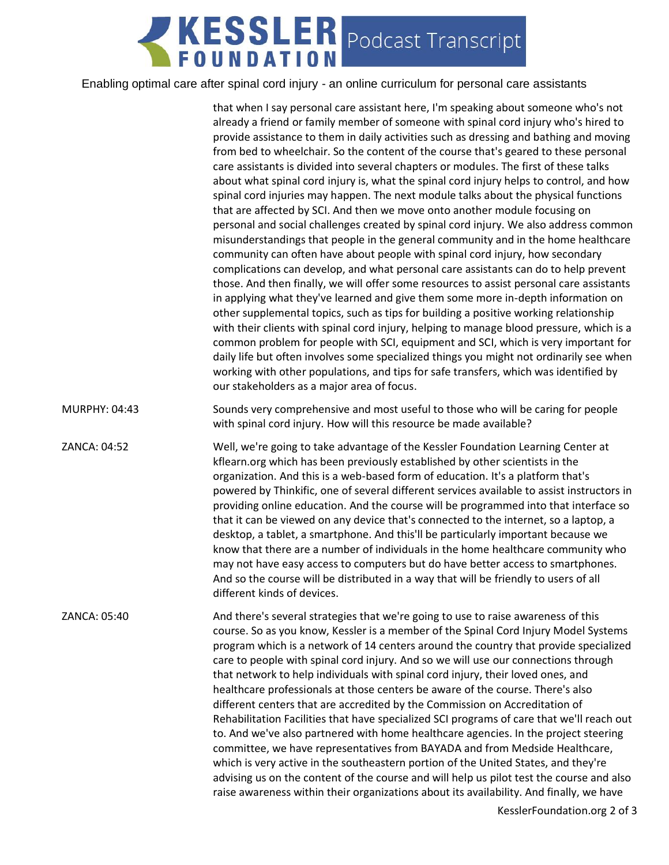## KESSLER Podcast Transcript

## Enabling optimal care after spinal cord injury - an online curriculum for personal care assistants

|               | that when I say personal care assistant here, I'm speaking about someone who's not<br>already a friend or family member of someone with spinal cord injury who's hired to<br>provide assistance to them in daily activities such as dressing and bathing and moving<br>from bed to wheelchair. So the content of the course that's geared to these personal<br>care assistants is divided into several chapters or modules. The first of these talks<br>about what spinal cord injury is, what the spinal cord injury helps to control, and how<br>spinal cord injuries may happen. The next module talks about the physical functions<br>that are affected by SCI. And then we move onto another module focusing on<br>personal and social challenges created by spinal cord injury. We also address common<br>misunderstandings that people in the general community and in the home healthcare<br>community can often have about people with spinal cord injury, how secondary<br>complications can develop, and what personal care assistants can do to help prevent<br>those. And then finally, we will offer some resources to assist personal care assistants<br>in applying what they've learned and give them some more in-depth information on<br>other supplemental topics, such as tips for building a positive working relationship<br>with their clients with spinal cord injury, helping to manage blood pressure, which is a<br>common problem for people with SCI, equipment and SCI, which is very important for<br>daily life but often involves some specialized things you might not ordinarily see when<br>working with other populations, and tips for safe transfers, which was identified by<br>our stakeholders as a major area of focus. |
|---------------|---------------------------------------------------------------------------------------------------------------------------------------------------------------------------------------------------------------------------------------------------------------------------------------------------------------------------------------------------------------------------------------------------------------------------------------------------------------------------------------------------------------------------------------------------------------------------------------------------------------------------------------------------------------------------------------------------------------------------------------------------------------------------------------------------------------------------------------------------------------------------------------------------------------------------------------------------------------------------------------------------------------------------------------------------------------------------------------------------------------------------------------------------------------------------------------------------------------------------------------------------------------------------------------------------------------------------------------------------------------------------------------------------------------------------------------------------------------------------------------------------------------------------------------------------------------------------------------------------------------------------------------------------------------------------------------------------------------------------------------------------------------------|
| MURPHY: 04:43 | Sounds very comprehensive and most useful to those who will be caring for people<br>with spinal cord injury. How will this resource be made available?                                                                                                                                                                                                                                                                                                                                                                                                                                                                                                                                                                                                                                                                                                                                                                                                                                                                                                                                                                                                                                                                                                                                                                                                                                                                                                                                                                                                                                                                                                                                                                                                              |
| ZANCA: 04:52  | Well, we're going to take advantage of the Kessler Foundation Learning Center at<br>kflearn.org which has been previously established by other scientists in the<br>organization. And this is a web-based form of education. It's a platform that's<br>powered by Thinkific, one of several different services available to assist instructors in<br>providing online education. And the course will be programmed into that interface so<br>that it can be viewed on any device that's connected to the internet, so a laptop, a<br>desktop, a tablet, a smartphone. And this'll be particularly important because we<br>know that there are a number of individuals in the home healthcare community who<br>may not have easy access to computers but do have better access to smartphones.<br>And so the course will be distributed in a way that will be friendly to users of all<br>different kinds of devices.                                                                                                                                                                                                                                                                                                                                                                                                                                                                                                                                                                                                                                                                                                                                                                                                                                                |
| ZANCA: 05:40  | And there's several strategies that we're going to use to raise awareness of this<br>course. So as you know, Kessler is a member of the Spinal Cord Injury Model Systems<br>program which is a network of 14 centers around the country that provide specialized<br>care to people with spinal cord injury. And so we will use our connections through<br>that network to help individuals with spinal cord injury, their loved ones, and<br>healthcare professionals at those centers be aware of the course. There's also<br>different centers that are accredited by the Commission on Accreditation of<br>Rehabilitation Facilities that have specialized SCI programs of care that we'll reach out<br>to. And we've also partnered with home healthcare agencies. In the project steering<br>committee, we have representatives from BAYADA and from Medside Healthcare,<br>which is very active in the southeastern portion of the United States, and they're<br>advising us on the content of the course and will help us pilot test the course and also<br>raise awareness within their organizations about its availability. And finally, we have<br>KasalanFaundation and 3 of 2                                                                                                                                                                                                                                                                                                                                                                                                                                                                                                                                                                          |
|               |                                                                                                                                                                                                                                                                                                                                                                                                                                                                                                                                                                                                                                                                                                                                                                                                                                                                                                                                                                                                                                                                                                                                                                                                                                                                                                                                                                                                                                                                                                                                                                                                                                                                                                                                                                     |